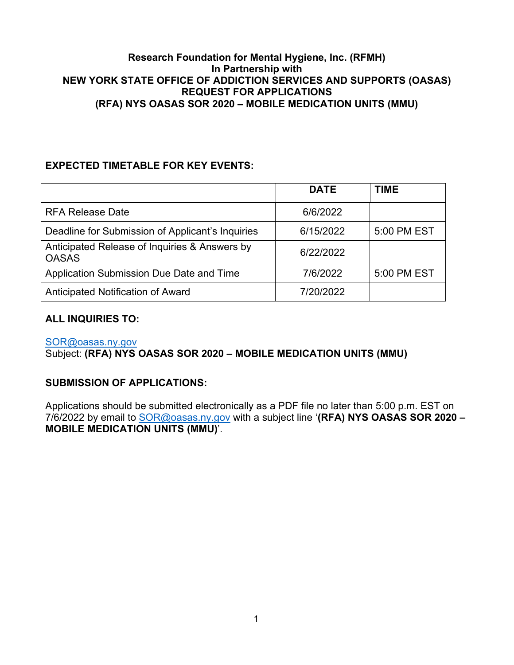## **Research Foundation for Mental Hygiene, Inc. (RFMH) In Partnership with NEW YORK STATE OFFICE OF ADDICTION SERVICES AND SUPPORTS (OASAS) REQUEST FOR APPLICATIONS (RFA) NYS OASAS SOR 2020 – MOBILE MEDICATION UNITS (MMU)**

# <span id="page-0-0"></span>**EXPECTED TIMETABLE FOR KEY EVENTS:**

|                                                               | <b>DATE</b> | <b>TIME</b> |
|---------------------------------------------------------------|-------------|-------------|
| <b>RFA Release Date</b>                                       | 6/6/2022    |             |
| Deadline for Submission of Applicant's Inquiries              | 6/15/2022   | 5:00 PM EST |
| Anticipated Release of Inquiries & Answers by<br><b>OASAS</b> | 6/22/2022   |             |
| Application Submission Due Date and Time                      | 7/6/2022    | 5:00 PM EST |
| Anticipated Notification of Award                             | 7/20/2022   |             |

# **ALL INQUIRIES TO:**

[SOR@oasas.ny.gov](mailto:SOR@oasas.ny.gov) 

Subject: **(RFA) NYS OASAS SOR 2020 – MOBILE MEDICATION UNITS (MMU)**

# **SUBMISSION OF APPLICATIONS:**

Applications should be submitted electronically as a PDF file no later than 5:00 p.m. EST on 7/6/2022 by email to [SOR@oasas.ny.gov](mailto:SOR@oasas.ny.gov) with a subject line '**(RFA) NYS OASAS SOR 2020 – MOBILE MEDICATION UNITS (MMU)**'.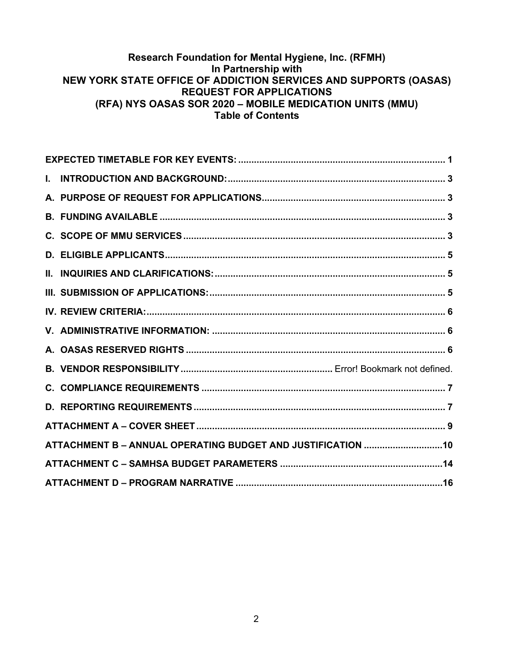## **Research Foundation for Mental Hygiene, Inc. (RFMH) In Partnership with NEW YORK STATE OFFICE OF ADDICTION SERVICES AND SUPPORTS (OASAS) REQUEST FOR APPLICATIONS (RFA) NYS OASAS SOR 2020 – MOBILE MEDICATION UNITS (MMU) Table of Contents**

| ATTACHMENT B - ANNUAL OPERATING BUDGET AND JUSTIFICATION 10 |  |
|-------------------------------------------------------------|--|
|                                                             |  |
|                                                             |  |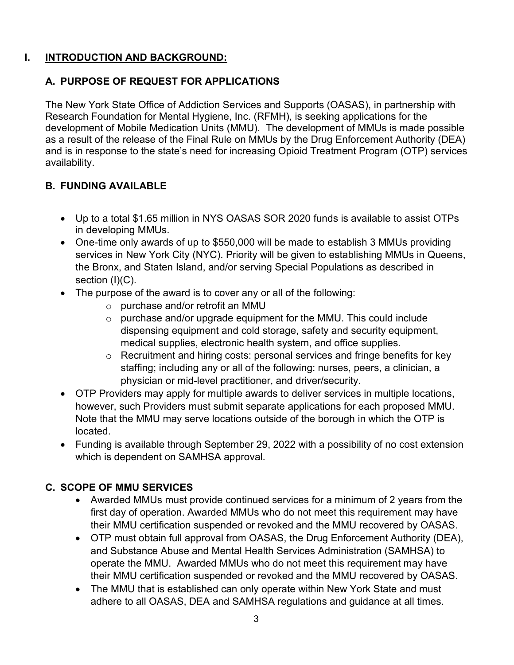# <span id="page-2-0"></span>**I. INTRODUCTION AND BACKGROUND:**

# <span id="page-2-1"></span>**A. PURPOSE OF REQUEST FOR APPLICATIONS**

The New York State Office of Addiction Services and Supports (OASAS), in partnership with Research Foundation for Mental Hygiene, Inc. (RFMH), is seeking applications for the development of Mobile Medication Units (MMU). The development of MMUs is made possible as a result of the release of the Final Rule on MMUs by the Drug Enforcement Authority (DEA) and is in response to the state's need for increasing Opioid Treatment Program (OTP) services availability.

# <span id="page-2-2"></span>**B. FUNDING AVAILABLE**

- Up to a total \$1.65 million in NYS OASAS SOR 2020 funds is available to assist OTPs in developing MMUs.
- One-time only awards of up to \$550,000 will be made to establish 3 MMUs providing services in New York City (NYC). Priority will be given to establishing MMUs in Queens, the Bronx, and Staten Island, and/or serving Special Populations as described in section (I)(C).
- The purpose of the award is to cover any or all of the following:
	- o purchase and/or retrofit an MMU
	- $\circ$  purchase and/or upgrade equipment for the MMU. This could include dispensing equipment and cold storage, safety and security equipment, medical supplies, electronic health system, and office supplies.
	- o Recruitment and hiring costs: personal services and fringe benefits for key staffing; including any or all of the following: nurses, peers, a clinician, a physician or mid-level practitioner, and driver/security.
- OTP Providers may apply for multiple awards to deliver services in multiple locations, however, such Providers must submit separate applications for each proposed MMU. Note that the MMU may serve locations outside of the borough in which the OTP is located.
- Funding is available through September 29, 2022 with a possibility of no cost extension which is dependent on SAMHSA approval.

# <span id="page-2-3"></span>**C. SCOPE OF MMU SERVICES**

- Awarded MMUs must provide continued services for a minimum of 2 years from the first day of operation. Awarded MMUs who do not meet this requirement may have their MMU certification suspended or revoked and the MMU recovered by OASAS.
- OTP must obtain full approval from OASAS, the Drug Enforcement Authority (DEA), and Substance Abuse and Mental Health Services Administration (SAMHSA) to operate the MMU. Awarded MMUs who do not meet this requirement may have their MMU certification suspended or revoked and the MMU recovered by OASAS.
- The MMU that is established can only operate within New York State and must adhere to all OASAS, DEA and SAMHSA regulations and guidance at all times.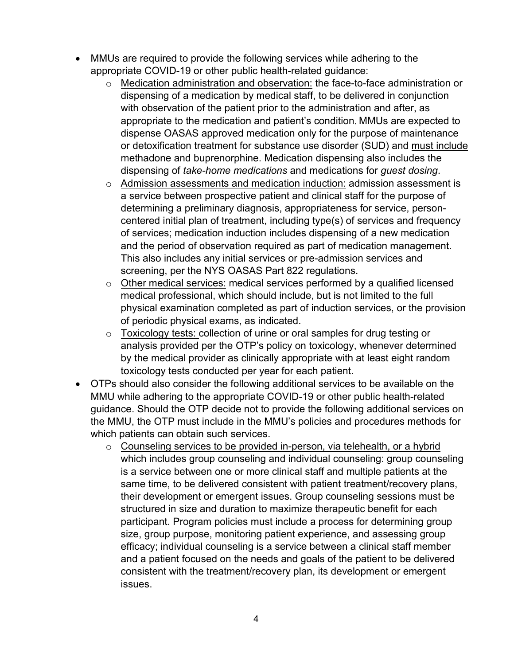- MMUs are required to provide the following services while adhering to the appropriate COVID-19 or other public health-related guidance:
	- o Medication administration and observation: the face-to-face administration or dispensing of a medication by medical staff, to be delivered in conjunction with observation of the patient prior to the administration and after, as appropriate to the medication and patient's condition. MMUs are expected to dispense OASAS approved medication only for the purpose of maintenance or detoxification treatment for substance use disorder (SUD) and must include methadone and buprenorphine. Medication dispensing also includes the dispensing of *take-home medications* and medications for *guest dosing*.
	- $\circ$  Admission assessments and medication induction: admission assessment is a service between prospective patient and clinical staff for the purpose of determining a preliminary diagnosis, appropriateness for service, personcentered initial plan of treatment, including type(s) of services and frequency of services; medication induction includes dispensing of a new medication and the period of observation required as part of medication management. This also includes any initial services or pre-admission services and screening, per the NYS OASAS Part 822 regulations.
	- o Other medical services: medical services performed by a qualified licensed medical professional, which should include, but is not limited to the full physical examination completed as part of induction services, or the provision of periodic physical exams, as indicated.
	- $\circ$  Toxicology tests: collection of urine or oral samples for drug testing or analysis provided per the OTP's policy on toxicology, whenever determined by the medical provider as clinically appropriate with at least eight random toxicology tests conducted per year for each patient.
- OTPs should also consider the following additional services to be available on the MMU while adhering to the appropriate COVID-19 or other public health-related guidance. Should the OTP decide not to provide the following additional services on the MMU, the OTP must include in the MMU's policies and procedures methods for which patients can obtain such services.
	- o Counseling services to be provided in-person, via telehealth, or a hybrid which includes group counseling and individual counseling: group counseling is a service between one or more clinical staff and multiple patients at the same time, to be delivered consistent with patient treatment/recovery plans, their development or emergent issues. Group counseling sessions must be structured in size and duration to maximize therapeutic benefit for each participant. Program policies must include a process for determining group size, group purpose, monitoring patient experience, and assessing group efficacy; individual counseling is a service between a clinical staff member and a patient focused on the needs and goals of the patient to be delivered consistent with the treatment/recovery plan, its development or emergent issues.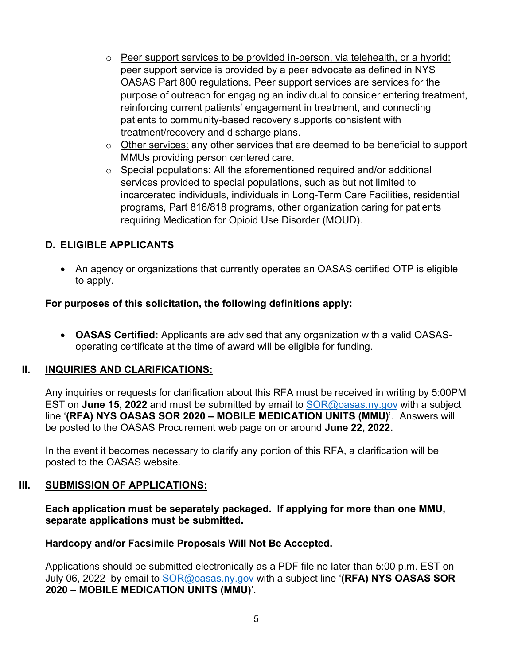- $\circ$  Peer support services to be provided in-person, via telehealth, or a hybrid: peer support service is provided by a peer advocate as defined in NYS OASAS Part 800 regulations. Peer support services are services for the purpose of outreach for engaging an individual to consider entering treatment, reinforcing current patients' engagement in treatment, and connecting patients to community-based recovery supports consistent with treatment/recovery and discharge plans.
- $\circ$  Other services: any other services that are deemed to be beneficial to support MMUs providing person centered care.
- o Special populations: All the aforementioned required and/or additional services provided to special populations, such as but not limited to incarcerated individuals, individuals in Long-Term Care Facilities, residential programs, Part 816/818 programs, other organization caring for patients requiring Medication for Opioid Use Disorder (MOUD).

# <span id="page-4-0"></span>**D. ELIGIBLE APPLICANTS**

• An agency or organizations that currently operates an OASAS certified OTP is eligible to apply.

## **For purposes of this solicitation, the following definitions apply:**

• **OASAS Certified:** Applicants are advised that any organization with a valid OASASoperating certificate at the time of award will be eligible for funding.

## <span id="page-4-1"></span>**II. INQUIRIES AND CLARIFICATIONS:**

Any inquiries or requests for clarification about this RFA must be received in writing by 5:00PM EST on **June 15, 2022** and must be submitted by email to [SOR@oasas.ny.gov](mailto:SOR@oasas.ny.gov) with a subject line '**(RFA) NYS OASAS SOR 2020 – MOBILE MEDICATION UNITS (MMU)**'. Answers will be posted to the OASAS Procurement web page on or around **June 22, 2022.** 

In the event it becomes necessary to clarify any portion of this RFA, a clarification will be posted to the OASAS website.

## **III. SUBMISSION OF APPLICATIONS:**

## <span id="page-4-2"></span>**Each application must be separately packaged. If applying for more than one MMU, separate applications must be submitted.**

## **Hardcopy and/or Facsimile Proposals Will Not Be Accepted.**

Applications should be submitted electronically as a PDF file no later than 5:00 p.m. EST on July 06, 2022 by email to [SOR@oasas.ny.gov](mailto:SOR@oasas.ny.gov) with a subject line '**(RFA) NYS OASAS SOR 2020 – MOBILE MEDICATION UNITS (MMU)**'.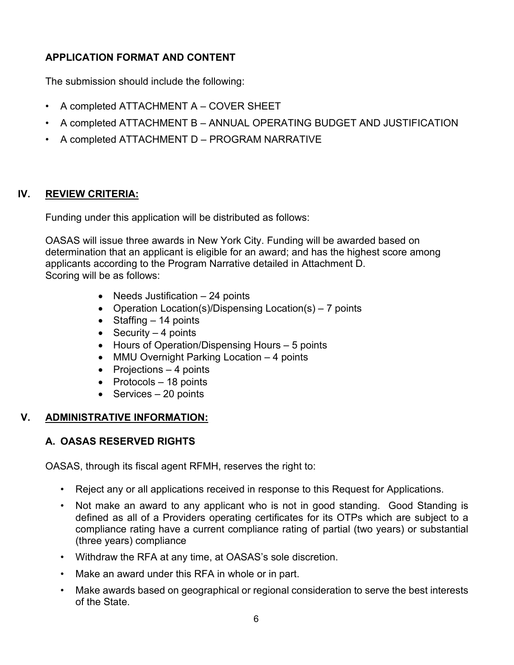# **APPLICATION FORMAT AND CONTENT**

The submission should include the following:

- A completed ATTACHMENT A COVER SHEET
- A completed ATTACHMENT B ANNUAL OPERATING BUDGET AND JUSTIFICATION
- A completed ATTACHMENT D PROGRAM NARRATIVE

# **IV. REVIEW CRITERIA:**

<span id="page-5-0"></span>Funding under this application will be distributed as follows:

OASAS will issue three awards in New York City. Funding will be awarded based on determination that an applicant is eligible for an award; and has the highest score among applicants according to the Program Narrative detailed in Attachment D. Scoring will be as follows:

- Needs Justification 24 points
- Operation Location(s)/Dispensing Location(s) 7 points
- Staffing 14 points
- Security  $-4$  points
- Hours of Operation/Dispensing Hours 5 points
- MMU Overnight Parking Location 4 points
- $\bullet$  Projections  $-4$  points
- Protocols 18 points
- Services 20 points

# <span id="page-5-1"></span>**V. ADMINISTRATIVE INFORMATION:**

# <span id="page-5-2"></span>**A. OASAS RESERVED RIGHTS**

OASAS, through its fiscal agent RFMH, reserves the right to:

- Reject any or all applications received in response to this Request for Applications.
- Not make an award to any applicant who is not in good standing. Good Standing is defined as all of a Providers operating certificates for its OTPs which are subject to a compliance rating have a current compliance rating of partial (two years) or substantial (three years) compliance
- Withdraw the RFA at any time, at OASAS's sole discretion.
- Make an award under this RFA in whole or in part.
- Make awards based on geographical or regional consideration to serve the best interests of the State.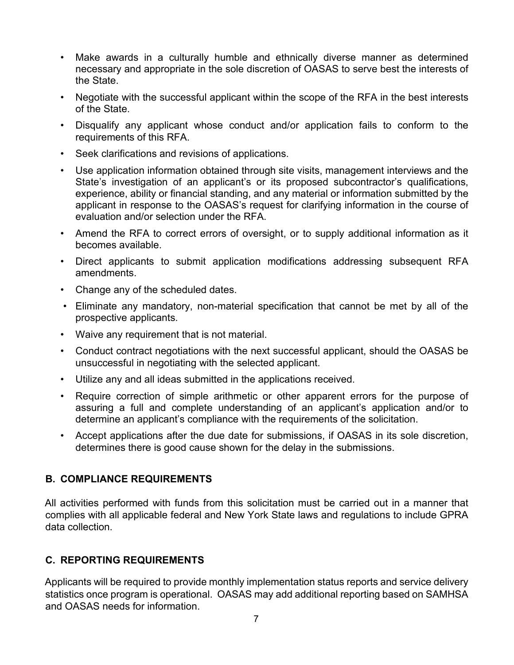- Make awards in a culturally humble and ethnically diverse manner as determined necessary and appropriate in the sole discretion of OASAS to serve best the interests of the State.
- Negotiate with the successful applicant within the scope of the RFA in the best interests of the State.
- Disqualify any applicant whose conduct and/or application fails to conform to the requirements of this RFA.
- Seek clarifications and revisions of applications.
- Use application information obtained through site visits, management interviews and the State's investigation of an applicant's or its proposed subcontractor's qualifications, experience, ability or financial standing, and any material or information submitted by the applicant in response to the OASAS's request for clarifying information in the course of evaluation and/or selection under the RFA.
- Amend the RFA to correct errors of oversight, or to supply additional information as it becomes available.
- Direct applicants to submit application modifications addressing subsequent RFA amendments.
- Change any of the scheduled dates.
- Eliminate any mandatory, non-material specification that cannot be met by all of the prospective applicants.
- Waive any requirement that is not material.
- Conduct contract negotiations with the next successful applicant, should the OASAS be unsuccessful in negotiating with the selected applicant.
- Utilize any and all ideas submitted in the applications received.
- Require correction of simple arithmetic or other apparent errors for the purpose of assuring a full and complete understanding of an applicant's application and/or to determine an applicant's compliance with the requirements of the solicitation.
- Accept applications after the due date for submissions, if OASAS in its sole discretion, determines there is good cause shown for the delay in the submissions.

# <span id="page-6-0"></span>**B. COMPLIANCE REQUIREMENTS**

All activities performed with funds from this solicitation must be carried out in a manner that complies with all applicable federal and New York State laws and regulations to include GPRA data collection.

# <span id="page-6-1"></span>**C. REPORTING REQUIREMENTS**

Applicants will be required to provide monthly implementation status reports and service delivery statistics once program is operational. OASAS may add additional reporting based on SAMHSA and OASAS needs for information.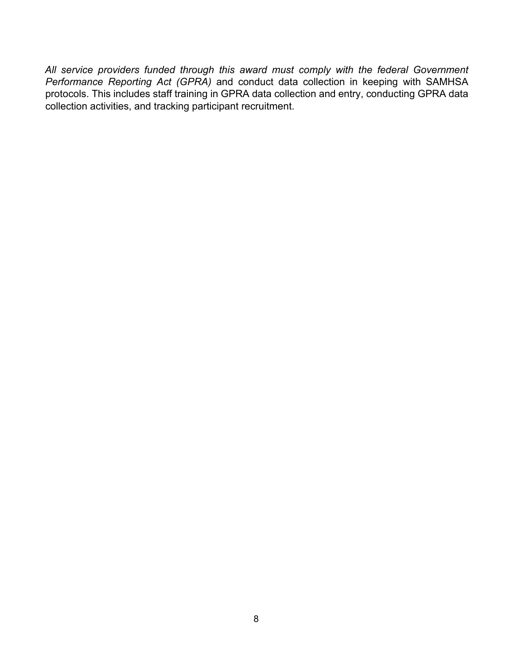*All service providers funded through this award must comply with the federal Government Performance Reporting Act (GPRA)* and conduct data collection in keeping with SAMHSA protocols. This includes staff training in GPRA data collection and entry, conducting GPRA data collection activities, and tracking participant recruitment.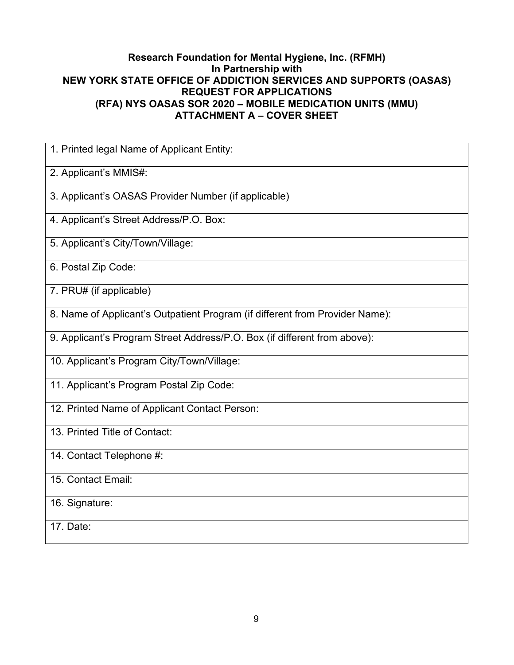## **Research Foundation for Mental Hygiene, Inc. (RFMH) In Partnership with NEW YORK STATE OFFICE OF ADDICTION SERVICES AND SUPPORTS (OASAS) REQUEST FOR APPLICATIONS (RFA) NYS OASAS SOR 2020 – MOBILE MEDICATION UNITS (MMU) ATTACHMENT A – COVER SHEET**

<span id="page-8-0"></span>

| 1. Printed legal Name of Applicant Entity:                                   |
|------------------------------------------------------------------------------|
| 2. Applicant's MMIS#:                                                        |
| 3. Applicant's OASAS Provider Number (if applicable)                         |
| 4. Applicant's Street Address/P.O. Box:                                      |
| 5. Applicant's City/Town/Village:                                            |
| 6. Postal Zip Code:                                                          |
| 7. PRU# (if applicable)                                                      |
| 8. Name of Applicant's Outpatient Program (if different from Provider Name): |
| 9. Applicant's Program Street Address/P.O. Box (if different from above):    |
| 10. Applicant's Program City/Town/Village:                                   |
| 11. Applicant's Program Postal Zip Code:                                     |
| 12. Printed Name of Applicant Contact Person:                                |
| 13. Printed Title of Contact:                                                |
| 14. Contact Telephone #:                                                     |
| 15. Contact Email:                                                           |
| 16. Signature:                                                               |
| 17. Date:                                                                    |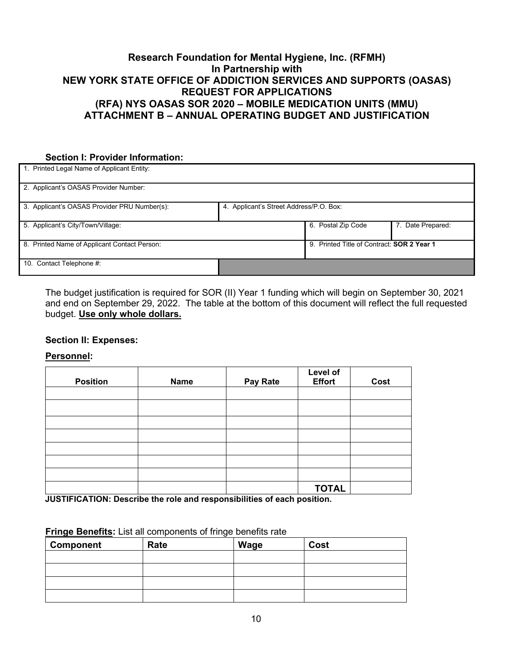## **Research Foundation for Mental Hygiene, Inc. (RFMH) In Partnership with NEW YORK STATE OFFICE OF ADDICTION SERVICES AND SUPPORTS (OASAS) REQUEST FOR APPLICATIONS (RFA) NYS OASAS SOR 2020 – MOBILE MEDICATION UNITS (MMU) ATTACHMENT B – ANNUAL OPERATING BUDGET AND JUSTIFICATION**

### <span id="page-9-0"></span>**Section I: Provider Information:**

| Printed Legal Name of Applicant Entity:      |                                         |                                            |                   |
|----------------------------------------------|-----------------------------------------|--------------------------------------------|-------------------|
| 2. Applicant's OASAS Provider Number:        |                                         |                                            |                   |
| 3. Applicant's OASAS Provider PRU Number(s): | 4. Applicant's Street Address/P.O. Box: |                                            |                   |
| 5. Applicant's City/Town/Village:            |                                         | 6. Postal Zip Code                         | 7. Date Prepared: |
| 8. Printed Name of Applicant Contact Person: |                                         | 9. Printed Title of Contract: SOR 2 Year 1 |                   |
| 10. Contact Telephone #.                     |                                         |                                            |                   |

The budget justification is required for SOR (II) Year 1 funding which will begin on September 30, 2021 and end on September 29, 2022. The table at the bottom of this document will reflect the full requested budget. **Use only whole dollars.**

#### **Section II: Expenses:**

**Personnel:**

| <b>Position</b> | <b>Name</b> | Pay Rate | Level of<br><b>Effort</b> | Cost |
|-----------------|-------------|----------|---------------------------|------|
|                 |             |          |                           |      |
|                 |             |          |                           |      |
|                 |             |          |                           |      |
|                 |             |          |                           |      |
|                 |             |          |                           |      |
|                 |             |          |                           |      |
|                 |             |          |                           |      |
|                 |             |          | <b>TOTAL</b>              |      |

**JUSTIFICATION: Describe the role and responsibilities of each position.**

| <b>Component</b> | Rate | Wage | Cost |
|------------------|------|------|------|
|                  |      |      |      |
|                  |      |      |      |
|                  |      |      |      |
|                  |      |      |      |

#### **Fringe Benefits:** List all components of fringe benefits rate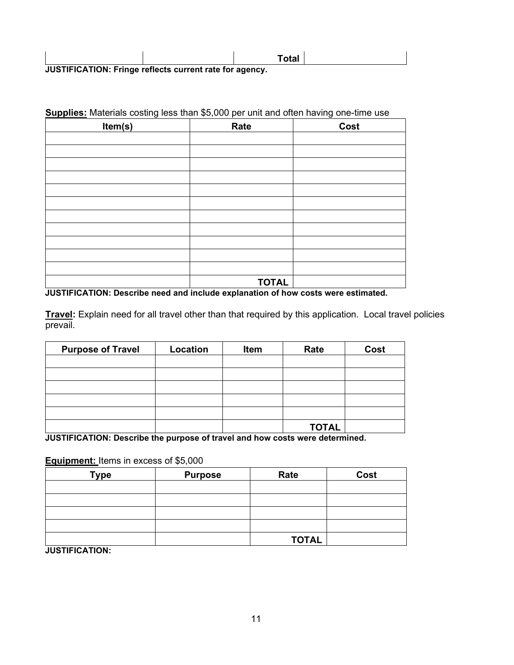|                                                         | Total |  |
|---------------------------------------------------------|-------|--|
| JUSTIFICATION: Fringe reflects current rate for agency. |       |  |

|  | Supplies: Materials costing less than \$5,000 per unit and often having one-time use |  |
|--|--------------------------------------------------------------------------------------|--|
|--|--------------------------------------------------------------------------------------|--|

| Item(s) | Rate         | Cost |
|---------|--------------|------|
|         |              |      |
|         |              |      |
|         |              |      |
|         |              |      |
|         |              |      |
|         |              |      |
|         |              |      |
|         |              |      |
|         |              |      |
|         |              |      |
|         |              |      |
|         | <b>TOTAL</b> |      |

**JUSTIFICATION: Describe need and include explanation of how costs were estimated.**

**Travel:** Explain need for all travel other than that required by this application. Local travel policies prevail.

| <b>Purpose of Travel</b> | Location | Item | Rate         | Cost |
|--------------------------|----------|------|--------------|------|
|                          |          |      |              |      |
|                          |          |      |              |      |
|                          |          |      |              |      |
|                          |          |      |              |      |
|                          |          |      |              |      |
|                          |          |      | <b>TOTAL</b> |      |

**JUSTIFICATION: Describe the purpose of travel and how costs were determined.** 

**Equipment:** Items in excess of \$5,000

| <b>Type</b> | <b>Purpose</b> | Rate         | Cost |
|-------------|----------------|--------------|------|
|             |                |              |      |
|             |                |              |      |
|             |                |              |      |
|             |                |              |      |
|             |                | <b>TOTAL</b> |      |

**JUSTIFICATION:**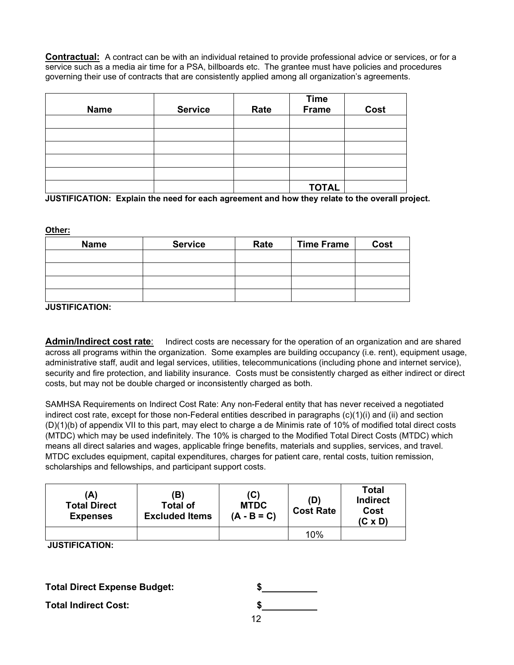**Contractual:** A contract can be with an individual retained to provide professional advice or services, or for a service such as a media air time for a PSA, billboards etc. The grantee must have policies and procedures governing their use of contracts that are consistently applied among all organization's agreements.

| <b>Name</b> | <b>Service</b> | Rate | <b>Time</b><br><b>Frame</b> | Cost |
|-------------|----------------|------|-----------------------------|------|
|             |                |      |                             |      |
|             |                |      |                             |      |
|             |                |      |                             |      |
|             |                |      |                             |      |
|             |                |      |                             |      |
|             |                |      | <b>TOTAL</b>                |      |

**JUSTIFICATION: Explain the need for each agreement and how they relate to the overall project.**

**Other:**

| <b>Name</b> | <b>Service</b> | Rate | <b>Time Frame</b> | Cost |
|-------------|----------------|------|-------------------|------|
|             |                |      |                   |      |
|             |                |      |                   |      |
|             |                |      |                   |      |
|             |                |      |                   |      |

**JUSTIFICATION:**

Admin/Indirect cost rate: Indirect costs are necessary for the operation of an organization and are shared across all programs within the organization. Some examples are building occupancy (i.e. rent), equipment usage, administrative staff, audit and legal services, utilities, telecommunications (including phone and internet service), security and fire protection, and liability insurance. Costs must be consistently charged as either indirect or direct costs, but may not be double charged or inconsistently charged as both.

SAMHSA Requirements on Indirect Cost Rate: Any non-Federal entity that has never received a negotiated indirect cost rate, except for those non-Federal entities described in paragraphs (c)(1)(i) and (ii) and section (D)(1)(b) of appendix VII to this part, may elect to charge a de Minimis rate of 10% of modified total direct costs (MTDC) which may be used indefinitely. The 10% is charged to the Modified Total Direct Costs (MTDC) which means all direct salaries and wages, applicable fringe benefits, materials and supplies, services, and travel. MTDC excludes equipment, capital expenditures, charges for patient care, rental costs, tuition remission, scholarships and fellowships, and participant support costs.

| 'A)<br><b>Total Direct</b><br><b>Expenses</b> | (B)<br><b>Total of</b><br><b>Excluded Items</b> | (C)<br><b>MTDC</b><br>$(A - B = C)$ | (D)<br><b>Cost Rate</b> | <b>Total</b><br><b>Indirect</b><br>Cost<br>$(C \times D)$ |
|-----------------------------------------------|-------------------------------------------------|-------------------------------------|-------------------------|-----------------------------------------------------------|
|                                               |                                                 |                                     | 10%                     |                                                           |

**JUSTIFICATION:**

**Total Direct Expense Budget: \$**

**Total Indirect Cost:**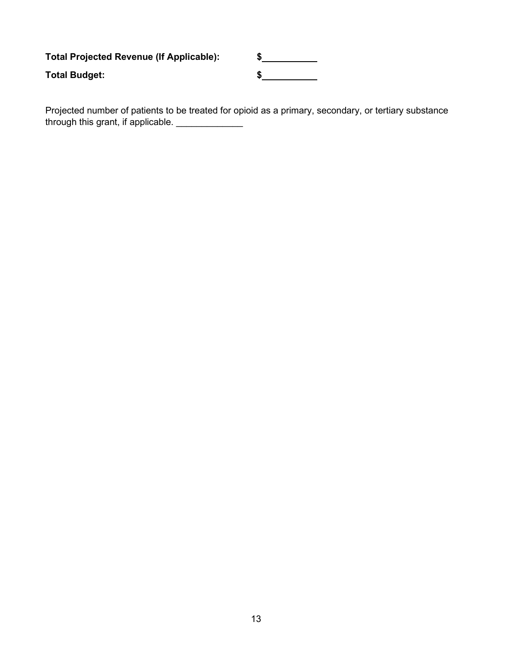**Total Projected Revenue (If Applicable): \$ Total Budget: \$**

Projected number of patients to be treated for opioid as a primary, secondary, or tertiary substance through this grant, if applicable. \_\_\_\_\_\_\_\_\_\_\_\_\_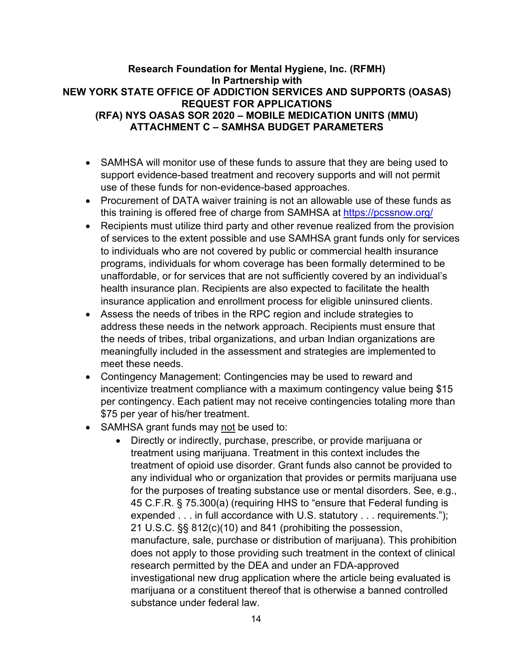## **Research Foundation for Mental Hygiene, Inc. (RFMH) In Partnership with NEW YORK STATE OFFICE OF ADDICTION SERVICES AND SUPPORTS (OASAS) REQUEST FOR APPLICATIONS (RFA) NYS OASAS SOR 2020 – MOBILE MEDICATION UNITS (MMU) ATTACHMENT C – SAMHSA BUDGET PARAMETERS**

- <span id="page-13-0"></span>• SAMHSA will monitor use of these funds to assure that they are being used to support evidence-based treatment and recovery supports and will not permit use of these funds for non-evidence-based approaches.
- Procurement of DATA waiver training is not an allowable use of these funds as this training is offered free of charge from SAMHSA at <https://pcssnow.org/>
- Recipients must utilize third party and other revenue realized from the provision of services to the extent possible and use SAMHSA grant funds only for services to individuals who are not covered by public or commercial health insurance programs, individuals for whom coverage has been formally determined to be unaffordable, or for services that are not sufficiently covered by an individual's health insurance plan. Recipients are also expected to facilitate the health insurance application and enrollment process for eligible uninsured clients.
- Assess the needs of tribes in the RPC region and include strategies to address these needs in the network approach. Recipients must ensure that the needs of tribes, tribal organizations, and urban Indian organizations are meaningfully included in the assessment and strategies are implemented to meet these needs.
- Contingency Management: Contingencies may be used to reward and incentivize treatment compliance with a maximum contingency value being \$15 per contingency. Each patient may not receive contingencies totaling more than \$75 per year of his/her treatment.
- SAMHSA grant funds may not be used to:
	- Directly or indirectly, purchase, prescribe, or provide marijuana or treatment using marijuana. Treatment in this context includes the treatment of opioid use disorder. Grant funds also cannot be provided to any individual who or organization that provides or permits marijuana use for the purposes of treating substance use or mental disorders. See, e.g., 45 C.F.R. § 75.300(a) (requiring HHS to "ensure that Federal funding is expended . . . in full accordance with U.S. statutory . . . requirements."); 21 U.S.C. §§ 812(c)(10) and 841 (prohibiting the possession, manufacture, sale, purchase or distribution of marijuana). This prohibition does not apply to those providing such treatment in the context of clinical research permitted by the DEA and under an FDA-approved investigational new drug application where the article being evaluated is marijuana or a constituent thereof that is otherwise a banned controlled substance under federal law.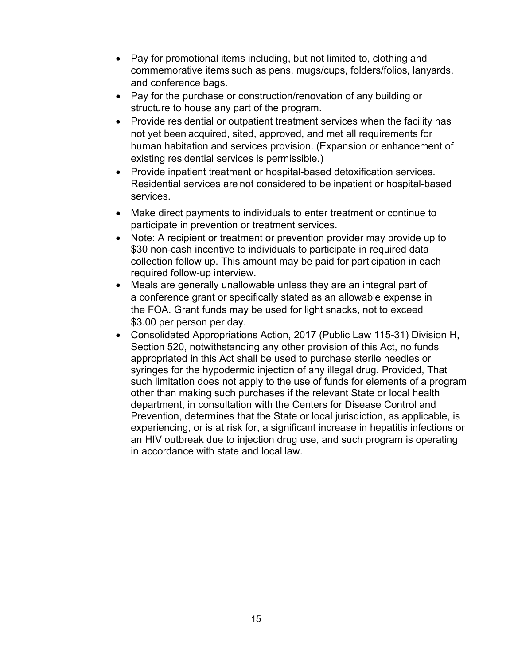- Pay for promotional items including, but not limited to, clothing and commemorative items such as pens, mugs/cups, folders/folios, lanyards, and conference bags.
- Pay for the purchase or construction/renovation of any building or structure to house any part of the program.
- Provide residential or outpatient treatment services when the facility has not yet been acquired, sited, approved, and met all requirements for human habitation and services provision. (Expansion or enhancement of existing residential services is permissible.)
- Provide inpatient treatment or hospital-based detoxification services. Residential services are not considered to be inpatient or hospital-based services.
- Make direct payments to individuals to enter treatment or continue to participate in prevention or treatment services.
- Note: A recipient or treatment or prevention provider may provide up to \$30 non-cash incentive to individuals to participate in required data collection follow up. This amount may be paid for participation in each required follow-up interview.
- Meals are generally unallowable unless they are an integral part of a conference grant or specifically stated as an allowable expense in the FOA. Grant funds may be used for light snacks, not to exceed \$3.00 per person per day.
- Consolidated Appropriations Action, 2017 (Public Law 115-31) Division H, Section 520, notwithstanding any other provision of this Act, no funds appropriated in this Act shall be used to purchase sterile needles or syringes for the hypodermic injection of any illegal drug. Provided, That such limitation does not apply to the use of funds for elements of a program other than making such purchases if the relevant State or local health department, in consultation with the Centers for Disease Control and Prevention, determines that the State or local jurisdiction, as applicable, is experiencing, or is at risk for, a significant increase in hepatitis infections or an HIV outbreak due to injection drug use, and such program is operating in accordance with state and local law.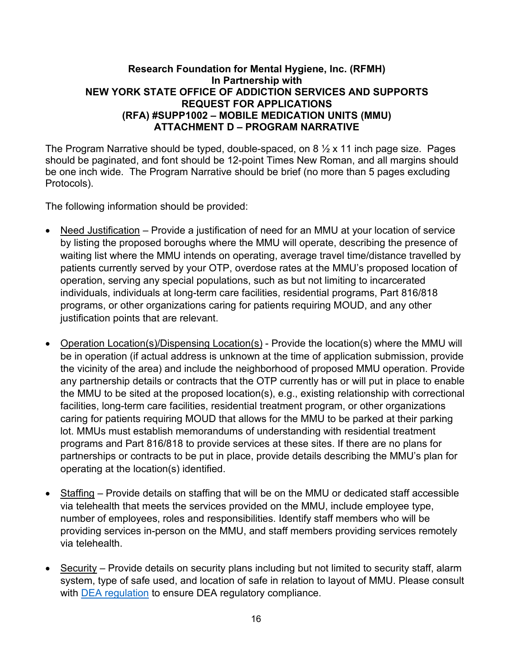## **Research Foundation for Mental Hygiene, Inc. (RFMH) In Partnership with NEW YORK STATE OFFICE OF ADDICTION SERVICES AND SUPPORTS REQUEST FOR APPLICATIONS (RFA) #SUPP1002 – MOBILE MEDICATION UNITS (MMU) ATTACHMENT D – PROGRAM NARRATIVE**

<span id="page-15-0"></span>The Program Narrative should be typed, double-spaced, on 8  $\frac{1}{2}$  x 11 inch page size. Pages should be paginated, and font should be 12-point Times New Roman, and all margins should be one inch wide. The Program Narrative should be brief (no more than 5 pages excluding Protocols).

The following information should be provided:

- Need Justification Provide a justification of need for an MMU at your location of service by listing the proposed boroughs where the MMU will operate, describing the presence of waiting list where the MMU intends on operating, average travel time/distance travelled by patients currently served by your OTP, overdose rates at the MMU's proposed location of operation, serving any special populations, such as but not limiting to incarcerated individuals, individuals at long-term care facilities, residential programs, Part 816/818 programs, or other organizations caring for patients requiring MOUD, and any other justification points that are relevant.
- Operation Location(s)/Dispensing Location(s) Provide the location(s) where the MMU will be in operation (if actual address is unknown at the time of application submission, provide the vicinity of the area) and include the neighborhood of proposed MMU operation. Provide any partnership details or contracts that the OTP currently has or will put in place to enable the MMU to be sited at the proposed location(s), e.g., existing relationship with correctional facilities, long-term care facilities, residential treatment program, or other organizations caring for patients requiring MOUD that allows for the MMU to be parked at their parking lot. MMUs must establish memorandums of understanding with residential treatment programs and Part 816/818 to provide services at these sites. If there are no plans for partnerships or contracts to be put in place, provide details describing the MMU's plan for operating at the location(s) identified.
- Staffing Provide details on staffing that will be on the MMU or dedicated staff accessible via telehealth that meets the services provided on the MMU, include employee type, number of employees, roles and responsibilities. Identify staff members who will be providing services in-person on the MMU, and staff members providing services remotely via telehealth.
- Security Provide details on security plans including but not limited to security staff, alarm system, type of safe used, and location of safe in relation to layout of MMU. Please consult with [DEA regulation](https://www.federalregister.gov/documents/2021/06/28/2021-13519/registration-requirements-for-narcotic-treatment-programs-with-mobile-components) to ensure DEA regulatory compliance.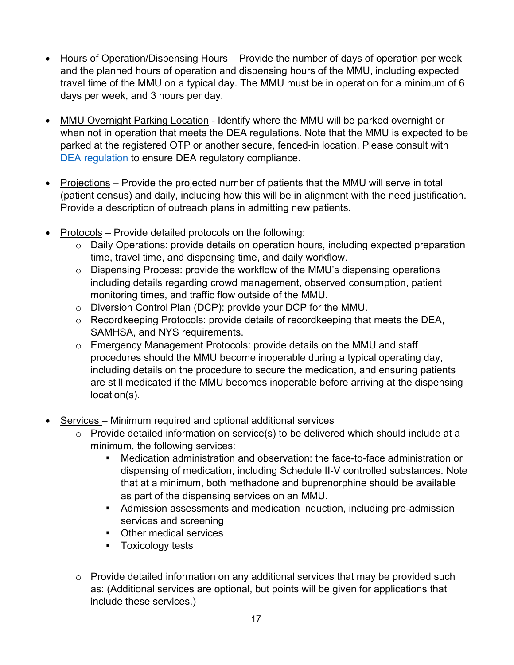- Hours of Operation/Dispensing Hours Provide the number of days of operation per week and the planned hours of operation and dispensing hours of the MMU, including expected travel time of the MMU on a typical day. The MMU must be in operation for a minimum of 6 days per week, and 3 hours per day.
- MMU Overnight Parking Location Identify where the MMU will be parked overnight or when not in operation that meets the DEA regulations. Note that the MMU is expected to be parked at the registered OTP or another secure, fenced-in location. Please consult with [DEA regulation](https://www.federalregister.gov/documents/2021/06/28/2021-13519/registration-requirements-for-narcotic-treatment-programs-with-mobile-components) to ensure DEA regulatory compliance.
- Projections Provide the projected number of patients that the MMU will serve in total (patient census) and daily, including how this will be in alignment with the need justification. Provide a description of outreach plans in admitting new patients.
- Protocols Provide detailed protocols on the following:
	- o Daily Operations: provide details on operation hours, including expected preparation time, travel time, and dispensing time, and daily workflow.
	- o Dispensing Process: provide the workflow of the MMU's dispensing operations including details regarding crowd management, observed consumption, patient monitoring times, and traffic flow outside of the MMU.
	- o Diversion Control Plan (DCP): provide your DCP for the MMU.
	- o Recordkeeping Protocols: provide details of recordkeeping that meets the DEA, SAMHSA, and NYS requirements.
	- o Emergency Management Protocols: provide details on the MMU and staff procedures should the MMU become inoperable during a typical operating day, including details on the procedure to secure the medication, and ensuring patients are still medicated if the MMU becomes inoperable before arriving at the dispensing location(s).
- Services Minimum required and optional additional services
	- o Provide detailed information on service(s) to be delivered which should include at a minimum, the following services:
		- Medication administration and observation: the face-to-face administration or dispensing of medication, including Schedule II-V controlled substances. Note that at a minimum, both methadone and buprenorphine should be available as part of the dispensing services on an MMU.
		- Admission assessments and medication induction, including pre-admission services and screening
		- **•** Other medical services
		- **Toxicology tests**
	- $\circ$  Provide detailed information on any additional services that may be provided such as: (Additional services are optional, but points will be given for applications that include these services.)